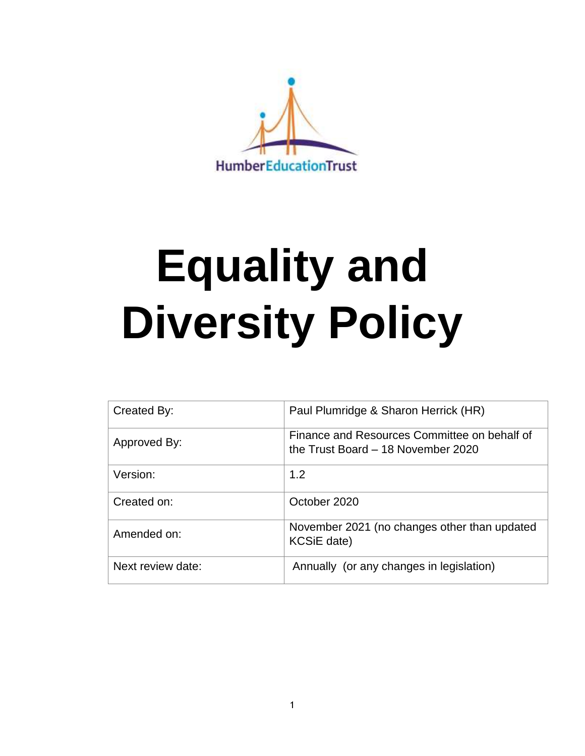

# **Equality and Diversity Policy**

| Created By:       | Paul Plumridge & Sharon Herrick (HR)                                               |  |
|-------------------|------------------------------------------------------------------------------------|--|
| Approved By:      | Finance and Resources Committee on behalf of<br>the Trust Board - 18 November 2020 |  |
| Version:          | 1.2                                                                                |  |
| Created on:       | October 2020                                                                       |  |
| Amended on:       | November 2021 (no changes other than updated<br>KCSiE date)                        |  |
| Next review date: | Annually (or any changes in legislation)                                           |  |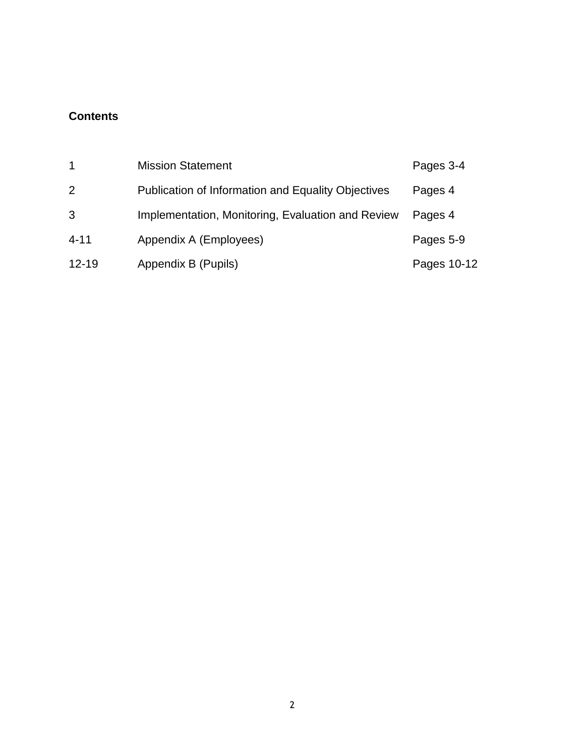# **Contents**

| $\mathbf{1}$ | <b>Mission Statement</b>                                  | Pages 3-4   |
|--------------|-----------------------------------------------------------|-------------|
| 2            | <b>Publication of Information and Equality Objectives</b> | Pages 4     |
| 3            | Implementation, Monitoring, Evaluation and Review         | Pages 4     |
| $4 - 11$     | Appendix A (Employees)                                    | Pages 5-9   |
| $12 - 19$    | Appendix B (Pupils)                                       | Pages 10-12 |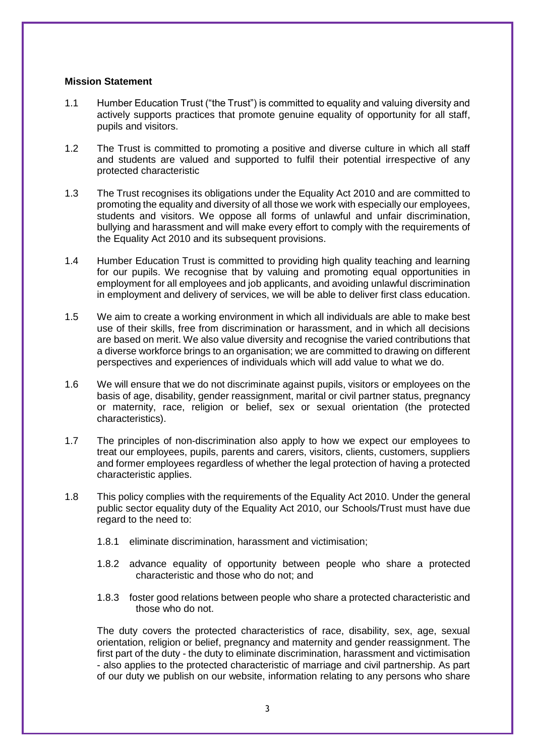#### **Mission Statement**

- 1.1 Humber Education Trust ("the Trust") is committed to equality and valuing diversity and actively supports practices that promote genuine equality of opportunity for all staff, pupils and visitors.
- 1.2 The Trust is committed to promoting a positive and diverse culture in which all staff and students are valued and supported to fulfil their potential irrespective of any protected characteristic
- 1.3 The Trust recognises its obligations under the Equality Act 2010 and are committed to promoting the equality and diversity of all those we work with especially our employees, students and visitors. We oppose all forms of unlawful and unfair discrimination, bullying and harassment and will make every effort to comply with the requirements of the Equality Act 2010 and its subsequent provisions.
- 1.4 Humber Education Trust is committed to providing high quality teaching and learning for our pupils. We recognise that by valuing and promoting equal opportunities in employment for all employees and job applicants, and avoiding unlawful discrimination in employment and delivery of services, we will be able to deliver first class education.
- 1.5 We aim to create a working environment in which all individuals are able to make best use of their skills, free from discrimination or harassment, and in which all decisions are based on merit. We also value diversity and recognise the varied contributions that a diverse workforce brings to an organisation; we are committed to drawing on different perspectives and experiences of individuals which will add value to what we do.
- 1.6 We will ensure that we do not discriminate against pupils, visitors or employees on the basis of age, disability, gender reassignment, marital or civil partner status, pregnancy or maternity, race, religion or belief, sex or sexual orientation (the protected characteristics).
- 1.7 The principles of non-discrimination also apply to how we expect our employees to treat our employees, pupils, parents and carers, visitors, clients, customers, suppliers and former employees regardless of whether the legal protection of having a protected characteristic applies.
- 1.8 This policy complies with the requirements of the Equality Act 2010. Under the general public sector equality duty of the Equality Act 2010, our Schools/Trust must have due regard to the need to:
	- 1.8.1 eliminate discrimination, harassment and victimisation;
	- 1.8.2 advance equality of opportunity between people who share a protected characteristic and those who do not; and
	- 1.8.3 foster good relations between people who share a protected characteristic and those who do not.

The duty covers the protected characteristics of race, disability, sex, age, sexual orientation, religion or belief, pregnancy and maternity and gender reassignment. The first part of the duty - the duty to eliminate discrimination, harassment and victimisation - also applies to the protected characteristic of marriage and civil partnership. As part of our duty we publish on our website, information relating to any persons who share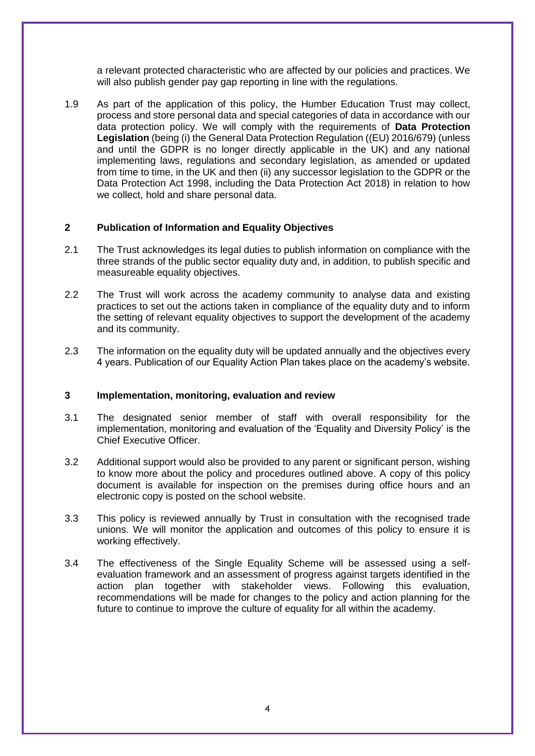a relevant protected characteristic who are affected by our policies and practices. We will also publish gender pay gap reporting in line with the regulations.

1.9 As part of the application of this policy, the Humber Education Trust may collect, process and store personal data and special categories of data in accordance with our data protection policy. We will comply with the requirements of **Data Protection Legislation** (being (i) the General Data Protection Regulation ((EU) 2016/679) (unless and until the GDPR is no longer directly applicable in the UK) and any national implementing laws, regulations and secondary legislation, as amended or updated from time to time, in the UK and then (ii) any successor legislation to the GDPR or the Data Protection Act 1998, including the Data Protection Act 2018) in relation to how we collect, hold and share personal data.

#### **2 Publication of Information and Equality Objectives**

- 2.1 The Trust acknowledges its legal duties to publish information on compliance with the three strands of the public sector equality duty and, in addition, to publish specific and measureable equality objectives.
- 2.2 The Trust will work across the academy community to analyse data and existing practices to set out the actions taken in compliance of the equality duty and to inform the setting of relevant equality objectives to support the development of the academy and its community.
- 2.3 The information on the equality duty will be updated annually and the objectives every 4 years. Publication of our Equality Action Plan takes place on the academy's website.

#### **3 Implementation, monitoring, evaluation and review**

- 3.1 The designated senior member of staff with overall responsibility for the implementation, monitoring and evaluation of the 'Equality and Diversity Policy' is the Chief Executive Officer.
- 3.2 Additional support would also be provided to any parent or significant person, wishing to know more about the policy and procedures outlined above. A copy of this policy document is available for inspection on the premises during office hours and an electronic copy is posted on the school website.
- 3.3 This policy is reviewed annually by Trust in consultation with the recognised trade unions. We will monitor the application and outcomes of this policy to ensure it is working effectively.
- 3.4 The effectiveness of the Single Equality Scheme will be assessed using a selfevaluation framework and an assessment of progress against targets identified in the action plan together with stakeholder views. Following this evaluation, recommendations will be made for changes to the policy and action planning for the future to continue to improve the culture of equality for all within the academy.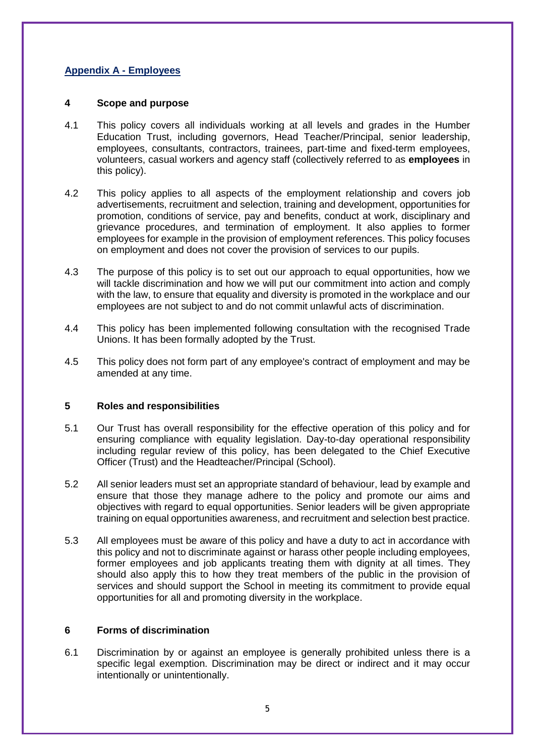# **Appendix A - Employees**

#### **4 Scope and purpose**

- 4.1 This policy covers all individuals working at all levels and grades in the Humber Education Trust, including governors, Head Teacher/Principal, senior leadership, employees, consultants, contractors, trainees, part-time and fixed-term employees, volunteers, casual workers and agency staff (collectively referred to as **employees** in this policy).
- 4.2 This policy applies to all aspects of the employment relationship and covers job advertisements, recruitment and selection, training and development, opportunities for promotion, conditions of service, pay and benefits, conduct at work, disciplinary and grievance procedures, and termination of employment. It also applies to former employees for example in the provision of employment references. This policy focuses on employment and does not cover the provision of services to our pupils.
- 4.3 The purpose of this policy is to set out our approach to equal opportunities, how we will tackle discrimination and how we will put our commitment into action and comply with the law, to ensure that equality and diversity is promoted in the workplace and our employees are not subject to and do not commit unlawful acts of discrimination.
- 4.4 This policy has been implemented following consultation with the recognised Trade Unions. It has been formally adopted by the Trust.
- 4.5 This policy does not form part of any employee's contract of employment and may be amended at any time.

# **5 Roles and responsibilities**

- 5.1 Our Trust has overall responsibility for the effective operation of this policy and for ensuring compliance with equality legislation. Day-to-day operational responsibility including regular review of this policy, has been delegated to the Chief Executive Officer (Trust) and the Headteacher/Principal (School).
- 5.2 All senior leaders must set an appropriate standard of behaviour, lead by example and ensure that those they manage adhere to the policy and promote our aims and objectives with regard to equal opportunities. Senior leaders will be given appropriate training on equal opportunities awareness, and recruitment and selection best practice.
- 5.3 All employees must be aware of this policy and have a duty to act in accordance with this policy and not to discriminate against or harass other people including employees, former employees and job applicants treating them with dignity at all times. They should also apply this to how they treat members of the public in the provision of services and should support the School in meeting its commitment to provide equal opportunities for all and promoting diversity in the workplace.

# **6 Forms of discrimination**

6.1 Discrimination by or against an employee is generally prohibited unless there is a specific legal exemption. Discrimination may be direct or indirect and it may occur intentionally or unintentionally.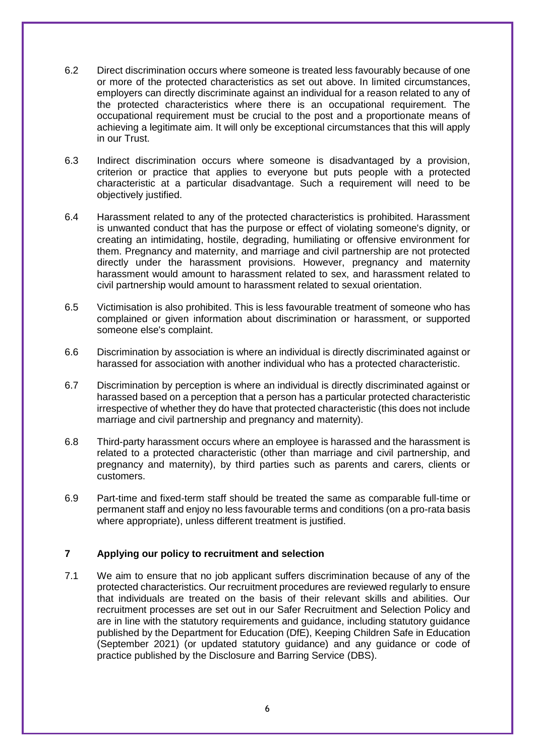- 6.2 Direct discrimination occurs where someone is treated less favourably because of one or more of the protected characteristics as set out above. In limited circumstances, employers can directly discriminate against an individual for a reason related to any of the protected characteristics where there is an occupational requirement. The occupational requirement must be crucial to the post and a proportionate means of achieving a legitimate aim. It will only be exceptional circumstances that this will apply in our Trust.
- 6.3 Indirect discrimination occurs where someone is disadvantaged by a provision, criterion or practice that applies to everyone but puts people with a protected characteristic at a particular disadvantage. Such a requirement will need to be objectively justified.
- 6.4 Harassment related to any of the protected characteristics is prohibited. Harassment is unwanted conduct that has the purpose or effect of violating someone's dignity, or creating an intimidating, hostile, degrading, humiliating or offensive environment for them. Pregnancy and maternity, and marriage and civil partnership are not protected directly under the harassment provisions. However, pregnancy and maternity harassment would amount to harassment related to sex, and harassment related to civil partnership would amount to harassment related to sexual orientation.
- 6.5 Victimisation is also prohibited. This is less favourable treatment of someone who has complained or given information about discrimination or harassment, or supported someone else's complaint.
- 6.6 Discrimination by association is where an individual is directly discriminated against or harassed for association with another individual who has a protected characteristic.
- 6.7 Discrimination by perception is where an individual is directly discriminated against or harassed based on a perception that a person has a particular protected characteristic irrespective of whether they do have that protected characteristic (this does not include marriage and civil partnership and pregnancy and maternity).
- 6.8 Third-party harassment occurs where an employee is harassed and the harassment is related to a protected characteristic (other than marriage and civil partnership, and pregnancy and maternity), by third parties such as parents and carers, clients or customers.
- 6.9 Part-time and fixed-term staff should be treated the same as comparable full-time or permanent staff and enjoy no less favourable terms and conditions (on a pro-rata basis where appropriate), unless different treatment is justified.

# **7 Applying our policy to recruitment and selection**

7.1 We aim to ensure that no job applicant suffers discrimination because of any of the protected characteristics. Our recruitment procedures are reviewed regularly to ensure that individuals are treated on the basis of their relevant skills and abilities. Our recruitment processes are set out in our Safer Recruitment and Selection Policy and are in line with the statutory requirements and guidance, including statutory guidance published by the Department for Education (DfE), Keeping Children Safe in Education (September 2021) (or updated statutory guidance) and any guidance or code of practice published by the Disclosure and Barring Service (DBS).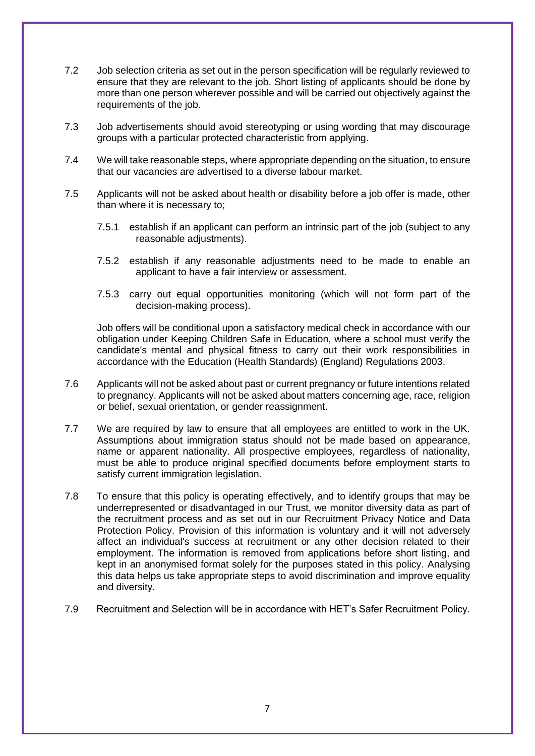- 7.2 Job selection criteria as set out in the person specification will be regularly reviewed to ensure that they are relevant to the job. Short listing of applicants should be done by more than one person wherever possible and will be carried out objectively against the requirements of the job.
- 7.3 Job advertisements should avoid stereotyping or using wording that may discourage groups with a particular protected characteristic from applying.
- 7.4 We will take reasonable steps, where appropriate depending on the situation, to ensure that our vacancies are advertised to a diverse labour market.
- 7.5 Applicants will not be asked about health or disability before a job offer is made, other than where it is necessary to;
	- 7.5.1 establish if an applicant can perform an intrinsic part of the job (subject to any reasonable adjustments).
	- 7.5.2 establish if any reasonable adjustments need to be made to enable an applicant to have a fair interview or assessment.
	- 7.5.3 carry out equal opportunities monitoring (which will not form part of the decision-making process).

Job offers will be conditional upon a satisfactory medical check in accordance with our obligation under Keeping Children Safe in Education, where a school must verify the candidate's mental and physical fitness to carry out their work responsibilities in accordance with the Education (Health Standards) (England) Regulations 2003.

- 7.6 Applicants will not be asked about past or current pregnancy or future intentions related to pregnancy. Applicants will not be asked about matters concerning age, race, religion or belief, sexual orientation, or gender reassignment.
- 7.7 We are required by law to ensure that all employees are entitled to work in the UK. Assumptions about immigration status should not be made based on appearance, name or apparent nationality. All prospective employees, regardless of nationality, must be able to produce original specified documents before employment starts to satisfy current immigration legislation.
- 7.8 To ensure that this policy is operating effectively, and to identify groups that may be underrepresented or disadvantaged in our Trust, we monitor diversity data as part of the recruitment process and as set out in our Recruitment Privacy Notice and Data Protection Policy. Provision of this information is voluntary and it will not adversely affect an individual's success at recruitment or any other decision related to their employment. The information is removed from applications before short listing, and kept in an anonymised format solely for the purposes stated in this policy. Analysing this data helps us take appropriate steps to avoid discrimination and improve equality and diversity.
- 7.9 Recruitment and Selection will be in accordance with HET's Safer Recruitment Policy.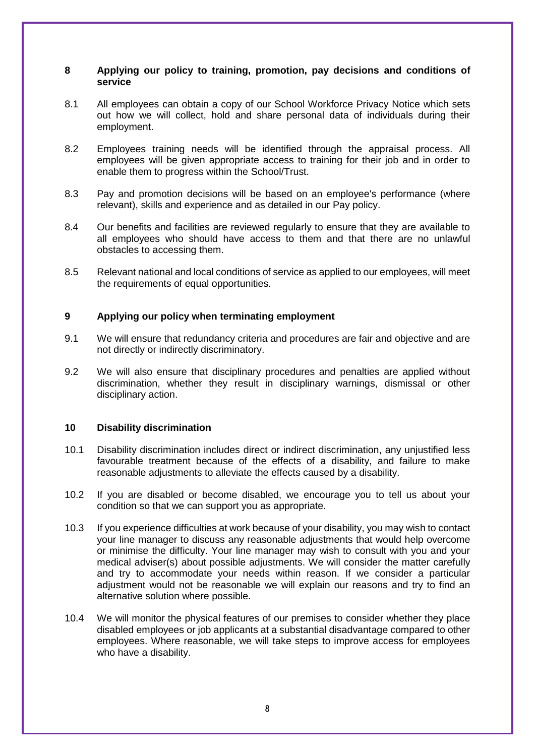#### **8 Applying our policy to training, promotion, pay decisions and conditions of service**

- 8.1 All employees can obtain a copy of our School Workforce Privacy Notice which sets out how we will collect, hold and share personal data of individuals during their employment.
- 8.2 Employees training needs will be identified through the appraisal process. All employees will be given appropriate access to training for their job and in order to enable them to progress within the School/Trust.
- 8.3 Pay and promotion decisions will be based on an employee's performance (where relevant), skills and experience and as detailed in our Pay policy.
- 8.4 Our benefits and facilities are reviewed regularly to ensure that they are available to all employees who should have access to them and that there are no unlawful obstacles to accessing them.
- 8.5 Relevant national and local conditions of service as applied to our employees, will meet the requirements of equal opportunities.

#### **9 Applying our policy when terminating employment**

- 9.1 We will ensure that redundancy criteria and procedures are fair and objective and are not directly or indirectly discriminatory.
- 9.2 We will also ensure that disciplinary procedures and penalties are applied without discrimination, whether they result in disciplinary warnings, dismissal or other disciplinary action.

#### **10 Disability discrimination**

- 10.1 Disability discrimination includes direct or indirect discrimination, any unjustified less favourable treatment because of the effects of a disability, and failure to make reasonable adjustments to alleviate the effects caused by a disability.
- 10.2 If you are disabled or become disabled, we encourage you to tell us about your condition so that we can support you as appropriate.
- 10.3 If you experience difficulties at work because of your disability, you may wish to contact your line manager to discuss any reasonable adjustments that would help overcome or minimise the difficulty. Your line manager may wish to consult with you and your medical adviser(s) about possible adjustments. We will consider the matter carefully and try to accommodate your needs within reason. If we consider a particular adjustment would not be reasonable we will explain our reasons and try to find an alternative solution where possible.
- 10.4 We will monitor the physical features of our premises to consider whether they place disabled employees or job applicants at a substantial disadvantage compared to other employees. Where reasonable, we will take steps to improve access for employees who have a disability.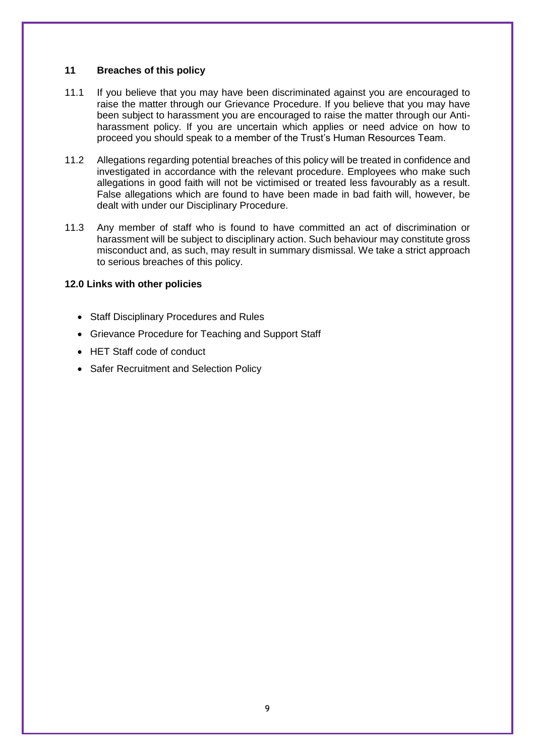#### **11 Breaches of this policy**

- 11.1 If you believe that you may have been discriminated against you are encouraged to raise the matter through our Grievance Procedure. If you believe that you may have been subject to harassment you are encouraged to raise the matter through our Antiharassment policy. If you are uncertain which applies or need advice on how to proceed you should speak to a member of the Trust's Human Resources Team.
- 11.2 Allegations regarding potential breaches of this policy will be treated in confidence and investigated in accordance with the relevant procedure. Employees who make such allegations in good faith will not be victimised or treated less favourably as a result. False allegations which are found to have been made in bad faith will, however, be dealt with under our Disciplinary Procedure.
- 11.3 Any member of staff who is found to have committed an act of discrimination or harassment will be subject to disciplinary action. Such behaviour may constitute gross misconduct and, as such, may result in summary dismissal. We take a strict approach to serious breaches of this policy.

# **12.0 Links with other policies**

- Staff Disciplinary Procedures and Rules
- Grievance Procedure for Teaching and Support Staff
- HET Staff code of conduct
- Safer Recruitment and Selection Policy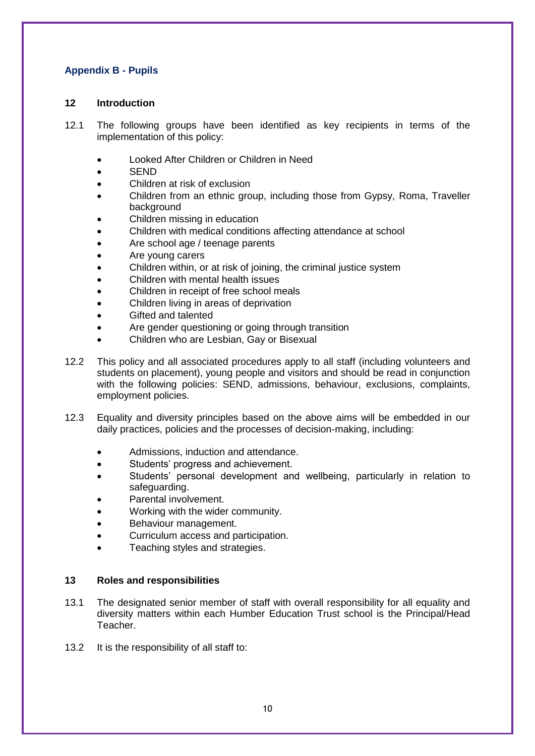# **Appendix B - Pupils**

#### **12 Introduction**

- 12.1 The following groups have been identified as key recipients in terms of the implementation of this policy:
	- Looked After Children or Children in Need
	- **SEND**
	- Children at risk of exclusion
	- Children from an ethnic group, including those from Gypsy, Roma, Traveller background
	- Children missing in education
	- Children with medical conditions affecting attendance at school
	- Are school age / teenage parents
	- Are young carers
	- Children within, or at risk of joining, the criminal justice system
	- Children with mental health issues
	- Children in receipt of free school meals
	- Children living in areas of deprivation
	- Gifted and talented
	- Are gender questioning or going through transition
	- Children who are Lesbian, Gay or Bisexual
- 12.2 This policy and all associated procedures apply to all staff (including volunteers and students on placement), young people and visitors and should be read in conjunction with the following policies: SEND, admissions, behaviour, exclusions, complaints, employment policies.
- 12.3 Equality and diversity principles based on the above aims will be embedded in our daily practices, policies and the processes of decision-making, including:
	- Admissions, induction and attendance.
	- Students' progress and achievement.
	- Students' personal development and wellbeing, particularly in relation to safeguarding.
	- Parental involvement.
	- Working with the wider community.
	- Behaviour management.
	- Curriculum access and participation.
	- Teaching styles and strategies.

#### **13 Roles and responsibilities**

- 13.1 The designated senior member of staff with overall responsibility for all equality and diversity matters within each Humber Education Trust school is the Principal/Head Teacher.
- 13.2 It is the responsibility of all staff to: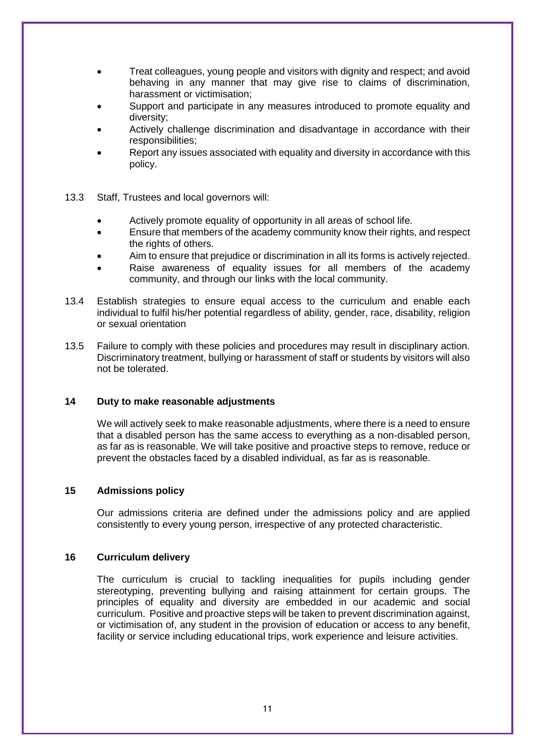- Treat colleagues, young people and visitors with dignity and respect; and avoid behaving in any manner that may give rise to claims of discrimination, harassment or victimisation;
- Support and participate in any measures introduced to promote equality and diversity;
- Actively challenge discrimination and disadvantage in accordance with their responsibilities;
- Report any issues associated with equality and diversity in accordance with this policy.
- 13.3 Staff, Trustees and local governors will:
	- Actively promote equality of opportunity in all areas of school life.
	- Ensure that members of the academy community know their rights, and respect the rights of others.
	- Aim to ensure that prejudice or discrimination in all its forms is actively rejected.
	- Raise awareness of equality issues for all members of the academy community, and through our links with the local community.
- 13.4 Establish strategies to ensure equal access to the curriculum and enable each individual to fulfil his/her potential regardless of ability, gender, race, disability, religion or sexual orientation
- 13.5 Failure to comply with these policies and procedures may result in disciplinary action. Discriminatory treatment, bullying or harassment of staff or students by visitors will also not be tolerated.

# **14 Duty to make reasonable adjustments**

We will actively seek to make reasonable adjustments, where there is a need to ensure that a disabled person has the same access to everything as a non-disabled person, as far as is reasonable. We will take positive and proactive steps to remove, reduce or prevent the obstacles faced by a disabled individual, as far as is reasonable.

# **15 Admissions policy**

Our admissions criteria are defined under the admissions policy and are applied consistently to every young person, irrespective of any protected characteristic.

#### **16 Curriculum delivery**

The curriculum is crucial to tackling inequalities for pupils including gender stereotyping, preventing bullying and raising attainment for certain groups. The principles of equality and diversity are embedded in our academic and social curriculum. Positive and proactive steps will be taken to prevent discrimination against, or victimisation of, any student in the provision of education or access to any benefit, facility or service including educational trips, work experience and leisure activities.